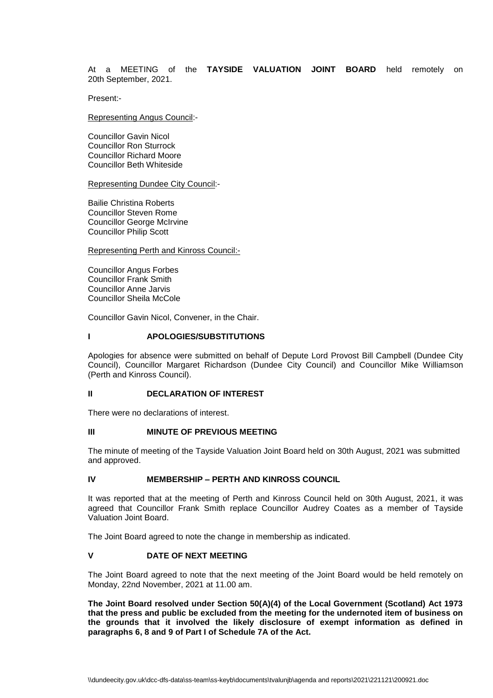### At a MEETING of the **TAYSIDE VALUATION JOINT BOARD** held remotely on 20th September, 2021.

Present:-

Representing Angus Council:-

Councillor Gavin Nicol Councillor Ron Sturrock Councillor Richard Moore Councillor Beth Whiteside

Representing Dundee City Council:-

Bailie Christina Roberts Councillor Steven Rome Councillor George McIrvine Councillor Philip Scott

Representing Perth and Kinross Council:-

Councillor Angus Forbes Councillor Frank Smith Councillor Anne Jarvis Councillor Sheila McCole

Councillor Gavin Nicol, Convener, in the Chair.

## **I APOLOGIES/SUBSTITUTIONS**

Apologies for absence were submitted on behalf of Depute Lord Provost Bill Campbell (Dundee City Council), Councillor Margaret Richardson (Dundee City Council) and Councillor Mike Williamson (Perth and Kinross Council).

### **II DECLARATION OF INTEREST**

There were no declarations of interest.

# **III MINUTE OF PREVIOUS MEETING**

The minute of meeting of the Tayside Valuation Joint Board held on 30th August, 2021 was submitted and approved.

### **IV MEMBERSHIP – PERTH AND KINROSS COUNCIL**

It was reported that at the meeting of Perth and Kinross Council held on 30th August, 2021, it was agreed that Councillor Frank Smith replace Councillor Audrey Coates as a member of Tayside Valuation Joint Board.

The Joint Board agreed to note the change in membership as indicated.

### **V DATE OF NEXT MEETING**

The Joint Board agreed to note that the next meeting of the Joint Board would be held remotely on Monday, 22nd November, 2021 at 11.00 am.

**The Joint Board resolved under Section 50(A)(4) of the Local Government (Scotland) Act 1973 that the press and public be excluded from the meeting for the undernoted item of business on the grounds that it involved the likely disclosure of exempt information as defined in paragraphs 6, 8 and 9 of Part I of Schedule 7A of the Act.**